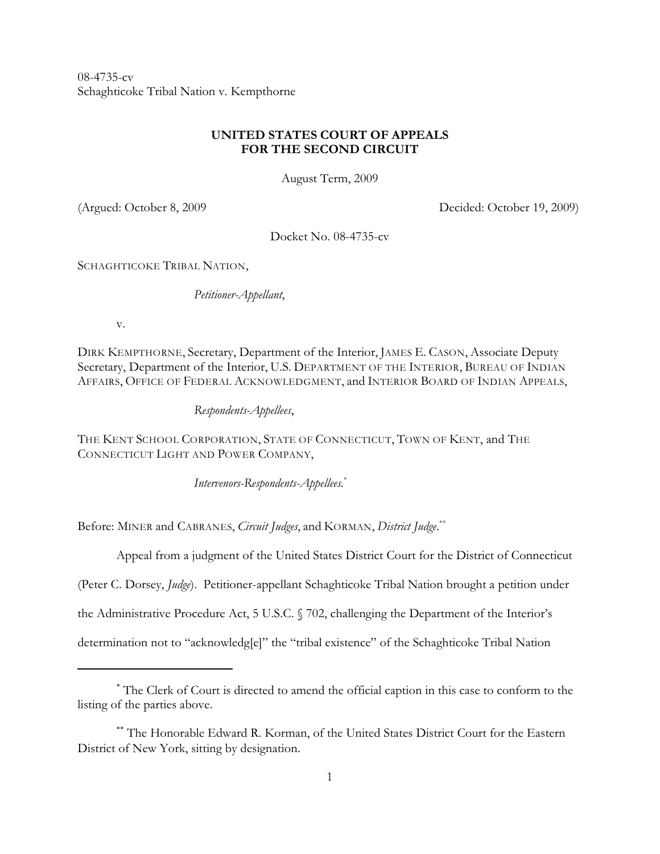08-4735-cv Schaghticoke Tribal Nation v. Kempthorne

## **UNITED STATES COURT OF APPEALS FOR THE SECOND CIRCUIT**

August Term, 2009

(Argued: October 8, 2009 Decided: October 19, 2009)

Docket No. 08-4735-cv

SCHAGHTICOKE TRIBAL NATION,

*Petitioner-Appellant*,

v.

DIRK KEMPTHORNE, Secretary, Department of the Interior, JAMES E. CASON, Associate Deputy Secretary, Department of the Interior, U.S. DEPARTMENT OF THE INTERIOR, BUREAU OF INDIAN AFFAIRS, OFFICE OF FEDERAL ACKNOWLEDGMENT, and INTERIOR BOARD OF INDIAN APPEALS,

*Respondents-Appellees*,

THE KENT SCHOOL CORPORATION, STATE OF CONNECTICUT, TOWN OF KENT, and THE CONNECTICUT LIGHT AND POWER COMPANY,

*Intervenors-Respondents-Appellees.*\*

Before: MINER and CABRANES, *Circuit Judges*, and KORMAN, *District Judge*. \*\*

Appeal from a judgment of the United States District Court for the District of Connecticut

(Peter C. Dorsey, *Judge*). Petitioner-appellant Schaghticoke Tribal Nation brought a petition under

the Administrative Procedure Act, 5 U.S.C. § 702, challenging the Department of the Interior's

determination not to "acknowledg[e]" the "tribal existence" of the Schaghticoke Tribal Nation

The Clerk of Court is directed to amend the official caption in this case to conform to the \* listing of the parties above.

<sup>\*\*</sup> The Honorable Edward R. Korman, of the United States District Court for the Eastern District of New York, sitting by designation.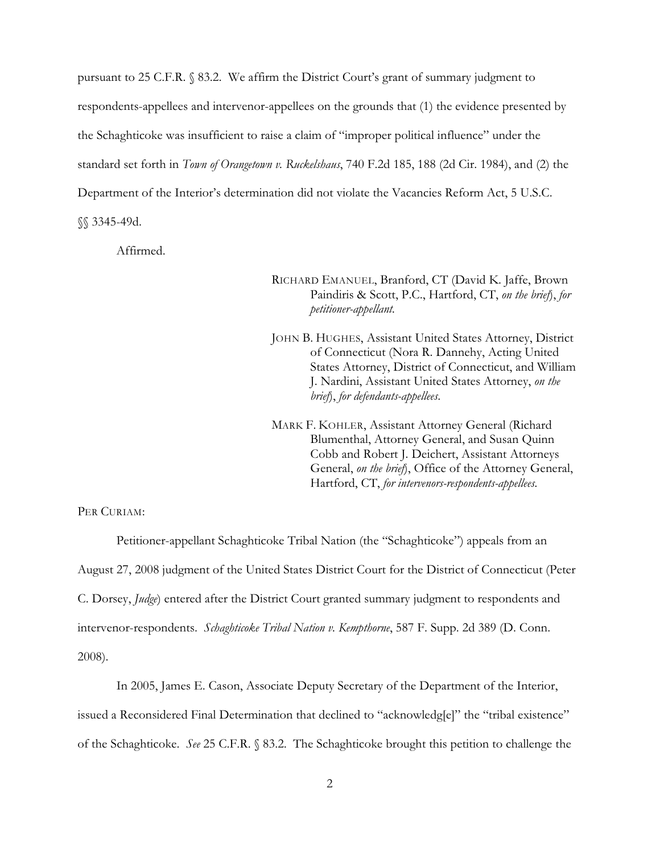pursuant to 25 C.F.R. § 83.2. We affirm the District Court's grant of summary judgment to respondents-appellees and intervenor-appellees on the grounds that (1) the evidence presented by the Schaghticoke was insufficient to raise a claim of "improper political influence" under the standard set forth in *Town of Orangetown v. Ruckelshaus*, 740 F.2d 185, 188 (2d Cir. 1984), and (2) the Department of the Interior's determination did not violate the Vacancies Reform Act, 5 U.S.C. §§ 3345-49d.

Affirmed.

RICHARD EMANUEL, Branford, CT (David K. Jaffe, Brown Paindiris & Scott, P.C., Hartford, CT, *on the brief*), *for petitioner-appellant.*

JOHN B. HUGHES, Assistant United States Attorney, District of Connecticut (Nora R. Dannehy, Acting United States Attorney, District of Connecticut, and William J. Nardini, Assistant United States Attorney, *on the brief*), *for defendants-appellees*.

MARK F. KOHLER, Assistant Attorney General (Richard Blumenthal, Attorney General, and Susan Quinn Cobb and Robert J. Deichert, Assistant Attorneys General, *on the brief*), Office of the Attorney General, Hartford, CT, *for intervenors-respondents-appellees.*

PER CURIAM:

Petitioner-appellant Schaghticoke Tribal Nation (the "Schaghticoke") appeals from an August 27, 2008 judgment of the United States District Court for the District of Connecticut (Peter C. Dorsey, *Judge*) entered after the District Court granted summary judgment to respondents and intervenor-respondents. *Schaghticoke Tribal Nation v. Kempthorne*, 587 F. Supp. 2d 389 (D. Conn. 2008).

In 2005, James E. Cason, Associate Deputy Secretary of the Department of the Interior, issued a Reconsidered Final Determination that declined to "acknowledg[e]" the "tribal existence" of the Schaghticoke. *See* 25 C.F.R. § 83.2. The Schaghticoke brought this petition to challenge the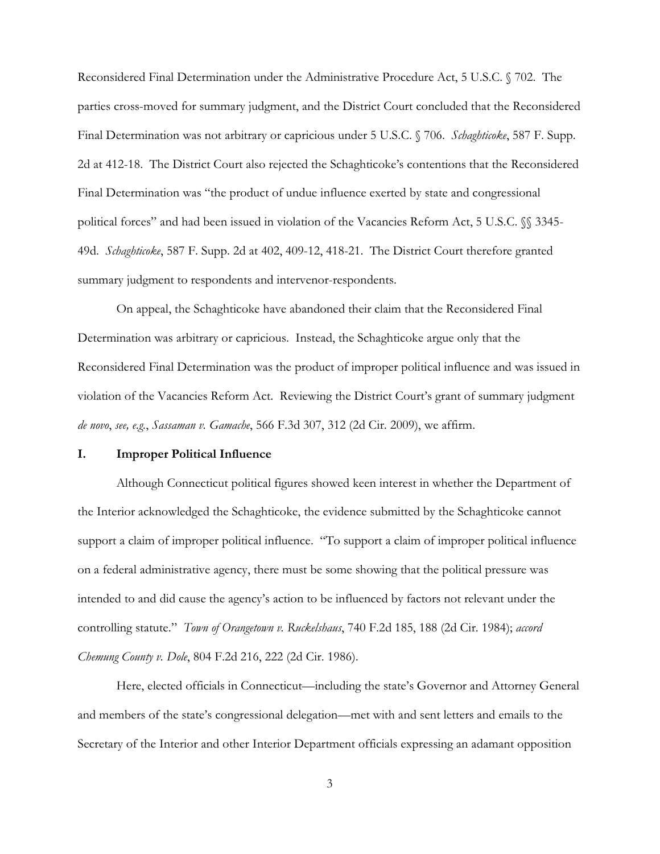Reconsidered Final Determination under the Administrative Procedure Act, 5 U.S.C. § 702. The parties cross-moved for summary judgment, and the District Court concluded that the Reconsidered Final Determination was not arbitrary or capricious under 5 U.S.C. § 706. *Schaghticoke*, 587 F. Supp. 2d at 412-18. The District Court also rejected the Schaghticoke's contentions that the Reconsidered Final Determination was "the product of undue influence exerted by state and congressional political forces" and had been issued in violation of the Vacancies Reform Act, 5 U.S.C. §§ 3345-49d. *Schaghticoke*, 587 F. Supp. 2d at 402, 409-12, 418-21. The District Court therefore granted summary judgment to respondents and intervenor-respondents.

On appeal, the Schaghticoke have abandoned their claim that the Reconsidered Final Determination was arbitrary or capricious. Instead, the Schaghticoke argue only that the Reconsidered Final Determination was the product of improper political influence and was issued in violation of the Vacancies Reform Act. Reviewing the District Court's grant of summary judgment *de novo*, *see, e.g.*, *Sassaman v. Gamache*, 566 F.3d 307, 312 (2d Cir. 2009), we affirm.

## **I. Improper Political Influence**

Although Connecticut political figures showed keen interest in whether the Department of the Interior acknowledged the Schaghticoke, the evidence submitted by the Schaghticoke cannot support a claim of improper political influence. "To support a claim of improper political influence on a federal administrative agency, there must be some showing that the political pressure was intended to and did cause the agency's action to be influenced by factors not relevant under the controlling statute." *Town of Orangetown v. Ruckelshaus*, 740 F.2d 185, 188 (2d Cir. 1984); *accord Chemung County v. Dole*, 804 F.2d 216, 222 (2d Cir. 1986).

Here, elected officials in Connecticut—including the state's Governor and Attorney General and members of the state's congressional delegation—met with and sent letters and emails to the Secretary of the Interior and other Interior Department officials expressing an adamant opposition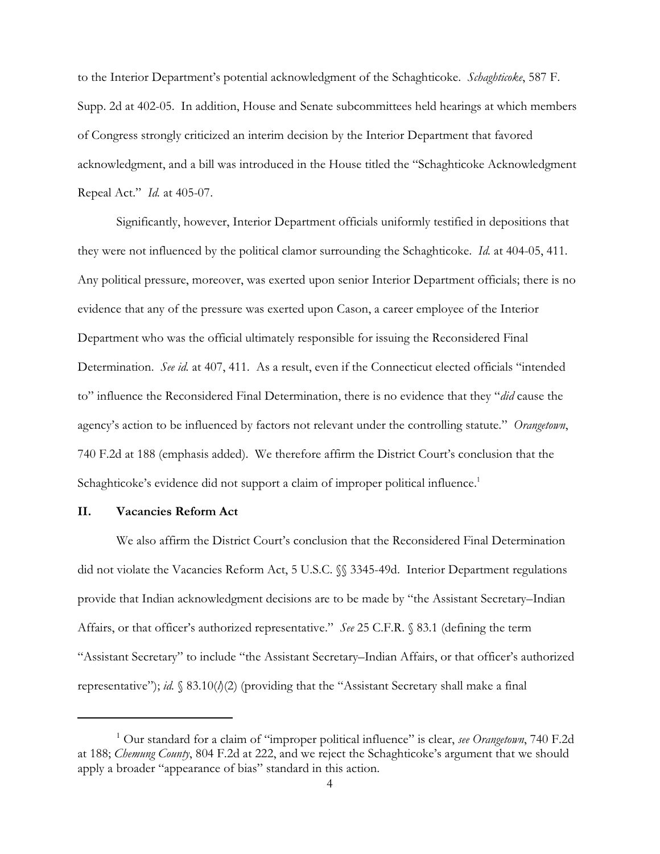to the Interior Department's potential acknowledgment of the Schaghticoke. *Schaghticoke*, 587 F. Supp. 2d at 402-05. In addition, House and Senate subcommittees held hearings at which members of Congress strongly criticized an interim decision by the Interior Department that favored acknowledgment, and a bill was introduced in the House titled the "Schaghticoke Acknowledgment Repeal Act." *Id.* at 405-07.

Significantly, however, Interior Department officials uniformly testified in depositions that they were not influenced by the political clamor surrounding the Schaghticoke. *Id.* at 404-05, 411. Any political pressure, moreover, was exerted upon senior Interior Department officials; there is no evidence that any of the pressure was exerted upon Cason, a career employee of the Interior Department who was the official ultimately responsible for issuing the Reconsidered Final Determination. *See id.* at 407, 411. As a result, even if the Connecticut elected officials "intended to" influence the Reconsidered Final Determination, there is no evidence that they "*did* cause the agency's action to be influenced by factors not relevant under the controlling statute." *Orangetown*, 740 F.2d at 188 (emphasis added). We therefore affirm the District Court's conclusion that the Schaghticoke's evidence did not support a claim of improper political influence.<sup>1</sup>

## **II. Vacancies Reform Act**

We also affirm the District Court's conclusion that the Reconsidered Final Determination did not violate the Vacancies Reform Act, 5 U.S.C. §§ 3345-49d. Interior Department regulations provide that Indian acknowledgment decisions are to be made by "the Assistant Secretary–Indian Affairs, or that officer's authorized representative." *See* 25 C.F.R. § 83.1 (defining the term "Assistant Secretary" to include "the Assistant Secretary–Indian Affairs, or that officer's authorized representative"); *id.* § 83.10(*l*)(2) (providing that the "Assistant Secretary shall make a final

<sup>&</sup>lt;sup>1</sup> Our standard for a claim of "improper political influence" is clear, *see Orangetown*, 740 F.2d at 188; *Chemung County*, 804 F.2d at 222, and we reject the Schaghticoke's argument that we should apply a broader "appearance of bias" standard in this action.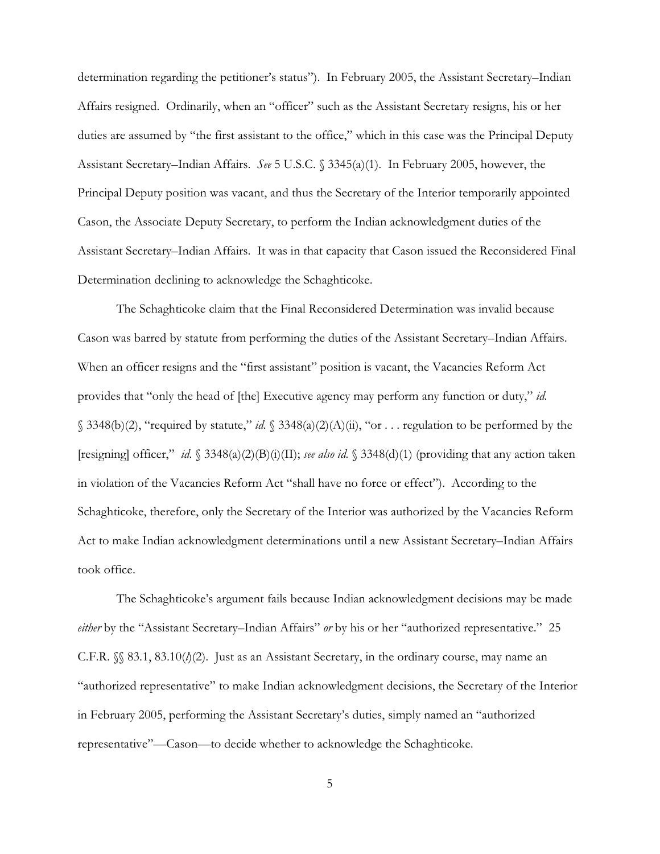determination regarding the petitioner's status"). In February 2005, the Assistant Secretary–Indian Affairs resigned. Ordinarily, when an "officer" such as the Assistant Secretary resigns, his or her duties are assumed by "the first assistant to the office," which in this case was the Principal Deputy Assistant Secretary–Indian Affairs. *See* 5 U.S.C. § 3345(a)(1). In February 2005, however, the Principal Deputy position was vacant, and thus the Secretary of the Interior temporarily appointed Cason, the Associate Deputy Secretary, to perform the Indian acknowledgment duties of the Assistant Secretary–Indian Affairs.It was in that capacity that Cason issued the Reconsidered Final Determination declining to acknowledge the Schaghticoke.

The Schaghticoke claim that the Final Reconsidered Determination was invalid because Cason was barred by statute from performing the duties of the Assistant Secretary–Indian Affairs. When an officer resigns and the "first assistant" position is vacant, the Vacancies Reform Act provides that "only the head of [the] Executive agency may perform any function or duty," *id.* § 3348(b)(2), "required by statute," *id.* § 3348(a)(2)(A)(ii), "or . . . regulation to be performed by the [resigning] officer," *id.* § 3348(a)(2)(B)(i)(II); *see also id.* § 3348(d)(1) (providing that any action taken in violation of the Vacancies Reform Act "shall have no force or effect"). According to the Schaghticoke, therefore, only the Secretary of the Interior was authorized by the Vacancies Reform Act to make Indian acknowledgment determinations until a new Assistant Secretary–Indian Affairs took office.

The Schaghticoke's argument fails because Indian acknowledgment decisions may be made *either* by the "Assistant Secretary–Indian Affairs" *or* by his or her "authorized representative." 25 C.F.R.  $\{\S 83.1, 83.10/b(2)\}$ . Just as an Assistant Secretary, in the ordinary course, may name an "authorized representative" to make Indian acknowledgment decisions, the Secretary of the Interior in February 2005, performing the Assistant Secretary's duties, simply named an "authorized representative"—Cason—to decide whether to acknowledge the Schaghticoke.